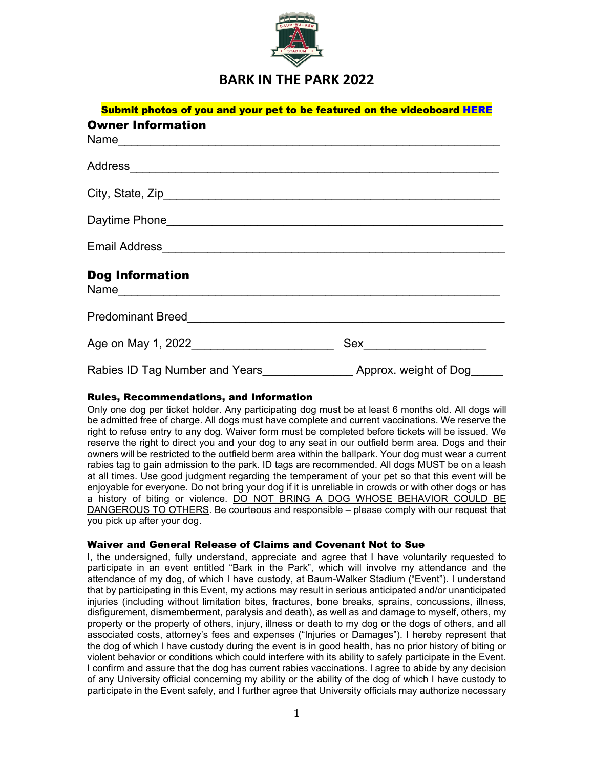

## **BARK IN THE PARK 2022**

| Submit photos of you and your pet to be featured on the videoboard HERE |                       |  |  |  |  |
|-------------------------------------------------------------------------|-----------------------|--|--|--|--|
| <b>Owner Information</b>                                                |                       |  |  |  |  |
|                                                                         |                       |  |  |  |  |
|                                                                         |                       |  |  |  |  |
|                                                                         |                       |  |  |  |  |
|                                                                         |                       |  |  |  |  |
|                                                                         |                       |  |  |  |  |
| <b>Dog Information</b>                                                  |                       |  |  |  |  |
|                                                                         |                       |  |  |  |  |
| Age on May 1, 2022 <b>Age on May 1</b> , 2022                           |                       |  |  |  |  |
| Rabies ID Tag Number and Years                                          | Approx. weight of Dog |  |  |  |  |

## Rules, Recommendations, and Information

Only one dog per ticket holder. Any participating dog must be at least 6 months old. All dogs will be admitted free of charge. All dogs must have complete and current vaccinations. We reserve the right to refuse entry to any dog. Waiver form must be completed before tickets will be issued. We reserve the right to direct you and your dog to any seat in our outfield berm area. Dogs and their owners will be restricted to the outfield berm area within the ballpark. Your dog must wear a current rabies tag to gain admission to the park. ID tags are recommended. All dogs MUST be on a leash at all times. Use good judgment regarding the temperament of your pet so that this event will be enjoyable for everyone. Do not bring your dog if it is unreliable in crowds or with other dogs or has a history of biting or violence. DO NOT BRING A DOG WHOSE BEHAVIOR COULD BE DANGEROUS TO OTHERS. Be courteous and responsible – please comply with our request that you pick up after your dog.

## Waiver and General Release of Claims and Covenant Not to Sue

I, the undersigned, fully understand, appreciate and agree that I have voluntarily requested to participate in an event entitled "Bark in the Park", which will involve my attendance and the attendance of my dog, of which I have custody, at Baum-Walker Stadium ("Event"). I understand that by participating in this Event, my actions may result in serious anticipated and/or unanticipated injuries (including without limitation bites, fractures, bone breaks, sprains, concussions, illness, disfigurement, dismemberment, paralysis and death), as well as and damage to myself, others, my property or the property of others, injury, illness or death to my dog or the dogs of others, and all associated costs, attorney's fees and expenses ("Injuries or Damages"). I hereby represent that the dog of which I have custody during the event is in good health, has no prior history of biting or violent behavior or conditions which could interfere with its ability to safely participate in the Event. I confirm and assure that the dog has current rabies vaccinations. I agree to abide by any decision of any University official concerning my ability or the ability of the dog of which I have custody to participate in the Event safely, and I further agree that University officials may authorize necessary